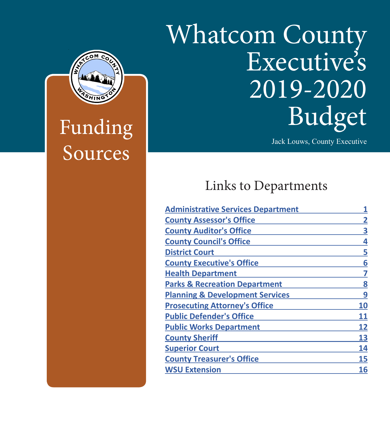# Whatcom County Executive's 2019-2020 Budget

Jack Louws, County Executive

## Links to Departments

|  | <b>Administrative Services Department</b>  |    |
|--|--------------------------------------------|----|
|  | <b>County Assessor's Office</b>            |    |
|  | <b>County Auditor's Office</b>             |    |
|  | <b>County Council's Office</b>             |    |
|  | <b>District Court</b>                      |    |
|  | <b>County Executive's Office</b>           |    |
|  | <b>Health Department</b>                   |    |
|  | <b>Parks &amp; Recreation Department</b>   |    |
|  | <b>Planning &amp; Development Services</b> | 9  |
|  | <b>Prosecuting Attorney's Office</b>       | 10 |
|  | <b>Public Defender's Office</b>            | 11 |
|  | <b>Public Works Department</b>             | 12 |
|  | <b>County Sheriff</b>                      | 13 |
|  | <b>Superior Court</b>                      | 14 |
|  | <b>County Treasurer's Office</b>           | 15 |
|  | <b>WSU Extension</b>                       | 16 |
|  |                                            |    |



Funding Sources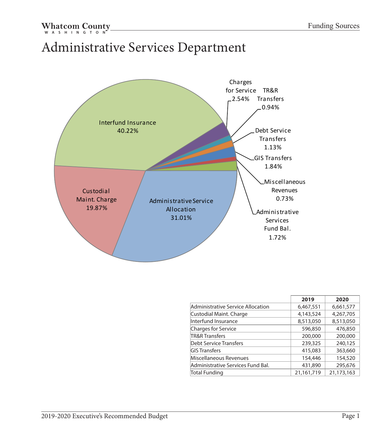# <span id="page-1-0"></span>Administrative Services Department



|                                   | 2019       | 2020       |
|-----------------------------------|------------|------------|
| Administrative Service Allocation | 6,467,551  | 6,661,577  |
| Custodial Maint. Charge           | 4,143,524  | 4,267,705  |
| Interfund Insurance               | 8,513,050  | 8,513,050  |
| Charges for Service               | 596,850    | 476,850    |
| TR&R Transfers                    | 200,000    | 200,000    |
| Debt Service Transfers            | 239,325    | 240,125    |
| <b>GIS Transfers</b>              | 415,083    | 363,660    |
| Miscellaneous Revenues            | 154,446    | 154,520    |
| Administrative Services Fund Bal. | 431,890    | 295,676    |
| Total Funding                     | 21.161.719 | 21,173,163 |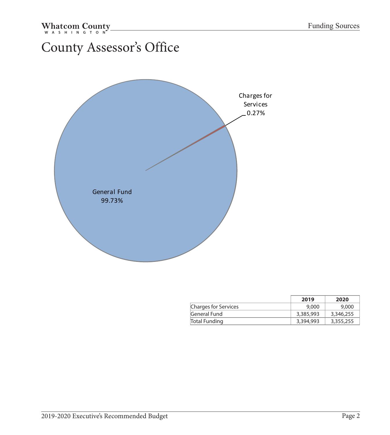# <span id="page-2-0"></span>County Assessor's Office



|                      | 2019      | 2020      |
|----------------------|-----------|-----------|
| Charges for Services | 9,000     | 9,000     |
| General Fund         | 3,385,993 | 3,346,255 |
| Total Funding        | 3,394,993 | 3,355,255 |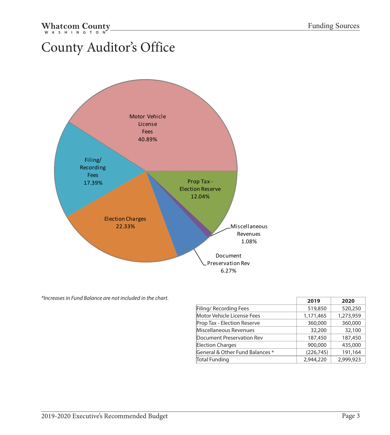# <span id="page-3-0"></span>County Auditor's Office



*\*Increases in Fund Balance are not included in the chart.*

|                                 | 2019       | 2020      |
|---------------------------------|------------|-----------|
| Filing/ Recording Fees          | 519,850    | 520,250   |
| Motor Vehicle License Fees      | 1,171,465  | 1,273,959 |
| Prop Tax - Election Reserve     | 360,000    | 360,000   |
| Miscellaneous Revenues          | 32,200     | 32,100    |
| Document Preservation Rev       | 187,450    | 187,450   |
| <b>Election Charges</b>         | 900,000    | 435,000   |
| General & Other Fund Balances * | (226, 745) | 191,164   |
| Total Funding                   | 2,944,220  | 2,999,923 |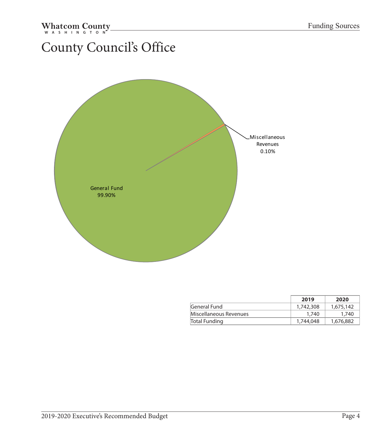# <span id="page-4-0"></span>County Council's Office



|                        | 2019      | 2020      |
|------------------------|-----------|-----------|
| General Fund           | 1,742,308 | 1,675,142 |
| Miscellaneous Revenues | 1.740     | 1,740     |
| Total Funding          | 1,744,048 | 1,676,882 |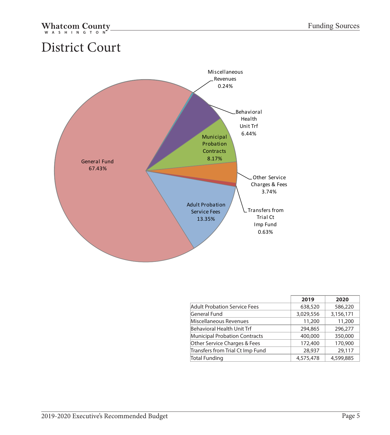# <span id="page-5-0"></span>District Court



|                                     | 2019      | 2020      |
|-------------------------------------|-----------|-----------|
| <b>Adult Probation Service Fees</b> | 638,520   | 586,220   |
| General Fund                        | 3,029,556 | 3,156,171 |
| Miscellaneous Revenues              | 11,200    | 11,200    |
| Behavioral Health Unit Trf          | 294,865   | 296,277   |
| Municipal Probation Contracts       | 400,000   | 350,000   |
| Other Service Charges & Fees        | 172,400   | 170,900   |
| Transfers from Trial Ct Imp Fund    | 28,937    | 29,117    |
| <b>Total Funding</b>                | 4,575,478 | 4,599,885 |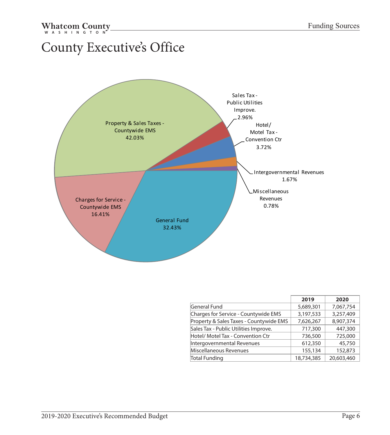# <span id="page-6-0"></span>County Executive's Office



|                                         | 2019       | 2020       |
|-----------------------------------------|------------|------------|
| General Fund                            | 5,689,301  | 7,067,754  |
| Charges for Service - Countywide EMS    | 3,197,533  | 3,257,409  |
| Property & Sales Taxes - Countywide EMS | 7,626,267  | 8,907,374  |
| Sales Tax - Public Utilities Improve.   | 717,300    | 447,300    |
| Hotel/ Motel Tax - Convention Ctr       | 736,500    | 725,000    |
| Intergovernmental Revenues              | 612,350    | 45,750     |
| Miscellaneous Revenues                  | 155,134    | 152,873    |
| <b>Total Funding</b>                    | 18,734,385 | 20,603,460 |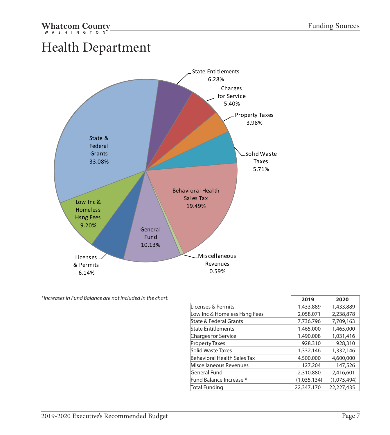## <span id="page-7-0"></span>Health Department



*\*Increases in Fund Balance are not included in the chart.*

| 2019        | 2020        |
|-------------|-------------|
| 1,433,889   | 1,433,889   |
| 2,058,071   | 2,238,878   |
| 7,736,796   | 7,709,163   |
| 1,465,000   | 1,465,000   |
| 1,490,008   | 1,031,416   |
| 928,310     | 928,310     |
| 1,332,146   | 1,332,146   |
| 4,500,000   | 4,600,000   |
| 127,204     | 147,526     |
| 2,310,880   | 2,416,601   |
| (1,035,134) | (1,075,494) |
| 22,347,170  | 22,227,435  |
|             |             |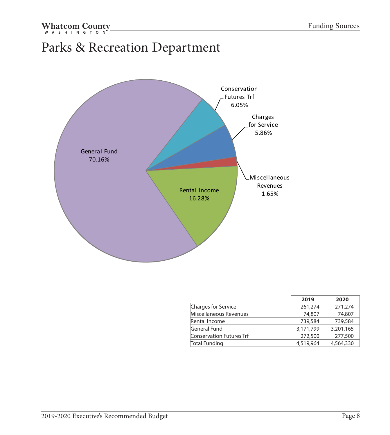#### <span id="page-8-0"></span>Whatcom County

## Parks & Recreation Department



|                          | 2019      | 2020      |
|--------------------------|-----------|-----------|
| Charges for Service      | 261,274   | 271,274   |
| Miscellaneous Revenues   | 74,807    | 74,807    |
| Rental Income            | 739,584   | 739,584   |
| General Fund             | 3,171,799 | 3,201,165 |
| Conservation Futures Trf | 272,500   | 277,500   |
| Total Funding            | 4,519,964 | 4,564,330 |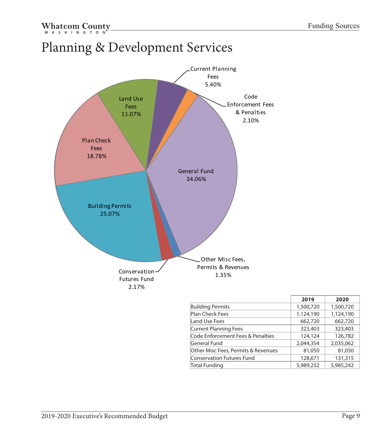#### <span id="page-9-0"></span>Whatcom County

# Planning & Development Services



| 2019      | 2020      |
|-----------|-----------|
| 1,500,720 | 1,500,720 |
| 1,124,190 | 1,124,190 |
| 662,720   | 662,720   |
| 323,403   | 323,403   |
| 124,124   | 126,782   |
| 2,044,354 | 2,035,062 |
| 81,050    | 81,050    |
| 128,671   | 131,315   |
| 5,989,232 | 5,985,242 |
|           |           |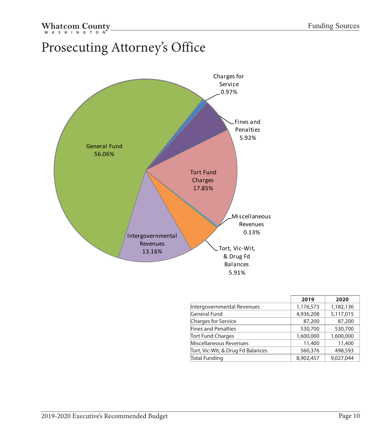#### <span id="page-10-0"></span>Whatcom County

# Prosecuting Attorney's Office



| 2019      | 2020      |
|-----------|-----------|
| 1,176,573 | 1,182,136 |
| 4,936,208 | 5,117,015 |
| 87,200    | 87,200    |
| 530,700   | 530,700   |
| 1,600,000 | 1,600,000 |
| 11,400    | 11,400    |
| 560,376   | 498,593   |
| 8,902,457 | 9,027,044 |
|           |           |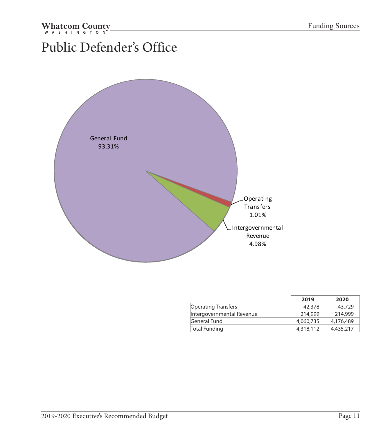# <span id="page-11-0"></span>Public Defender's Office



|                            | 2019      | 2020      |
|----------------------------|-----------|-----------|
| <b>Operating Transfers</b> | 42,378    | 43,729    |
| Intergovernmental Revenue  | 214,999   | 214,999   |
| General Fund               | 4,060,735 | 4,176,489 |
| <b>Total Funding</b>       | 4,318,112 | 4,435,217 |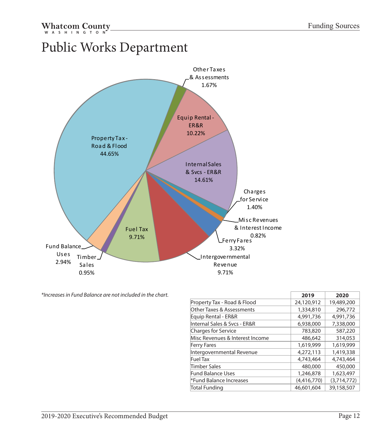# <span id="page-12-0"></span>Public Works Department



*\*Increases in Fund Balance are not included in the chart.*

|                                 | 2019        | 2020        |
|---------------------------------|-------------|-------------|
| Property Tax - Road & Flood     | 24,120,912  | 19,489,200  |
| Other Taxes & Assessments       | 1,334,810   | 296.772     |
| Equip Rental - ER&R             | 4.991.736   | 4.991.736   |
| Internal Sales & Svcs - ER&R    | 6,938,000   | 7,338,000   |
| Charges for Service             | 783,820     | 587,220     |
| Misc Revenues & Interest Income | 486,642     | 314,053     |
| <b>Ferry Fares</b>              | 1,619,999   | 1,619,999   |
| Intergovernmental Revenue       | 4,272,113   | 1,419,338   |
| <b>Fuel Tax</b>                 | 4,743,464   | 4,743,464   |
| Timber Sales                    | 480,000     | 450,000     |
| <b>Fund Balance Uses</b>        | 1,246,878   | 1,623,497   |
| *Fund Balance Increases         | (4,416,770) | (3,714,772) |
| <b>Total Funding</b>            | 46,601,604  | 39,158,507  |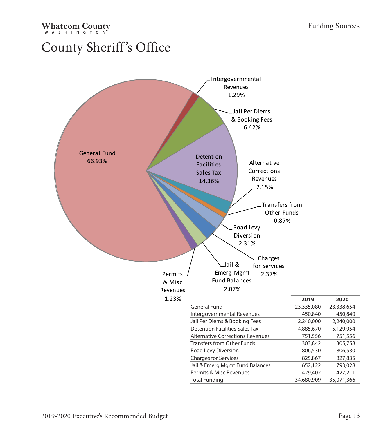### <span id="page-13-0"></span>County Sheriff 's Office

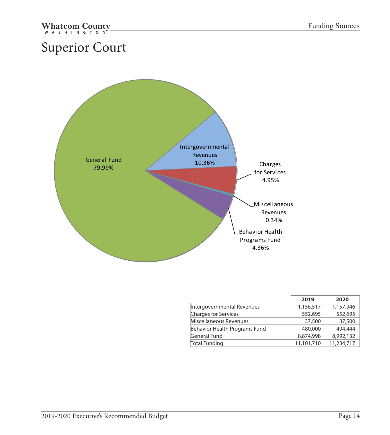# <span id="page-14-0"></span>Superior Court



|                               | 2019       | 2020       |
|-------------------------------|------------|------------|
| Intergovernmental Revenues    | 1,156,517  | 1,157,946  |
| Charges for Services          | 552,695    | 552,695    |
| Miscellaneous Revenues        | 37,500     | 37,500     |
| Behavior Health Programs Fund | 480,000    | 494,444    |
| General Fund                  | 8,874,998  | 8,992,132  |
| Total Funding                 | 11,101,710 | 11,234,717 |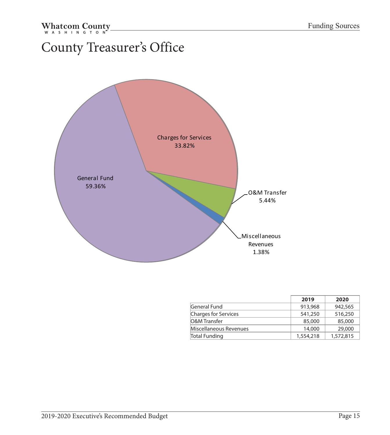# <span id="page-15-0"></span>County Treasurer's Office



|                        | 2019      | 2020      |
|------------------------|-----------|-----------|
| General Fund           | 913,968   | 942,565   |
| Charges for Services   | 541,250   | 516,250   |
| O&M Transfer           | 85,000    | 85,000    |
| Miscellaneous Revenues | 14,000    | 29,000    |
| <b>Total Funding</b>   | 1,554,218 | 1,572,815 |